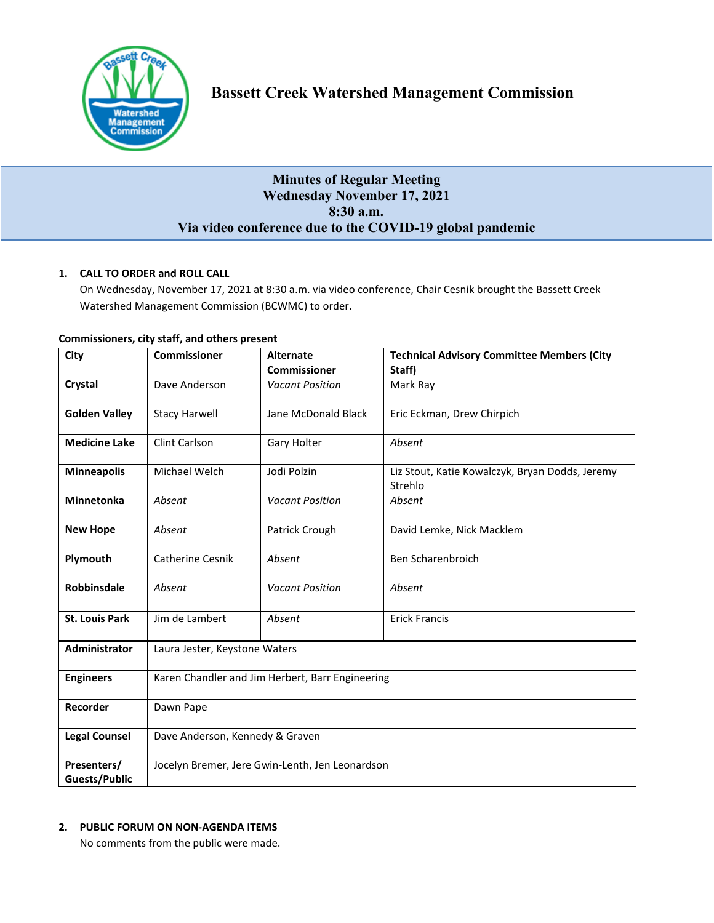

# **Minutes of Regular Meeting Wednesday November 17, 2021 8:30 a.m. Via video conference due to the COVID-19 global pandemic**

# **1. CALL TO ORDER and ROLL CALL**

On Wednesday, November 17, 2021 at 8:30 a.m. via video conference, Chair Cesnik brought the Bassett Creek Watershed Management Commission (BCWMC) to order.

| City                                | <b>Commissioner</b>                              | <b>Technical Advisory Committee Members (City</b><br><b>Alternate</b> |                                                            |  |  |  |
|-------------------------------------|--------------------------------------------------|-----------------------------------------------------------------------|------------------------------------------------------------|--|--|--|
|                                     |                                                  | <b>Commissioner</b>                                                   | Staff)                                                     |  |  |  |
| Crystal                             | Dave Anderson                                    | <b>Vacant Position</b>                                                | Mark Ray                                                   |  |  |  |
| <b>Golden Valley</b>                | <b>Stacy Harwell</b>                             | Jane McDonald Black                                                   | Eric Eckman, Drew Chirpich                                 |  |  |  |
| <b>Medicine Lake</b>                | Clint Carlson                                    | Gary Holter                                                           | Absent                                                     |  |  |  |
| <b>Minneapolis</b>                  | Michael Welch                                    | Jodi Polzin                                                           | Liz Stout, Katie Kowalczyk, Bryan Dodds, Jeremy<br>Strehlo |  |  |  |
| <b>Minnetonka</b>                   | Absent                                           | <b>Vacant Position</b>                                                | Absent                                                     |  |  |  |
| <b>New Hope</b>                     | Absent                                           | Patrick Crough                                                        | David Lemke, Nick Macklem                                  |  |  |  |
| Plymouth                            | Catherine Cesnik                                 | Absent                                                                | Ben Scharenbroich                                          |  |  |  |
| Robbinsdale                         | Absent                                           | <b>Vacant Position</b>                                                | Absent                                                     |  |  |  |
| <b>St. Louis Park</b>               | Jim de Lambert                                   | Absent                                                                | <b>Erick Francis</b>                                       |  |  |  |
| Administrator                       | Laura Jester, Keystone Waters                    |                                                                       |                                                            |  |  |  |
| <b>Engineers</b>                    | Karen Chandler and Jim Herbert, Barr Engineering |                                                                       |                                                            |  |  |  |
| Recorder                            | Dawn Pape                                        |                                                                       |                                                            |  |  |  |
| <b>Legal Counsel</b>                | Dave Anderson, Kennedy & Graven                  |                                                                       |                                                            |  |  |  |
| Presenters/<br><b>Guests/Public</b> | Jocelyn Bremer, Jere Gwin-Lenth, Jen Leonardson  |                                                                       |                                                            |  |  |  |

# **Commissioners, city staff, and others present**

# **2. PUBLIC FORUM ON NON-AGENDA ITEMS**

No comments from the public were made.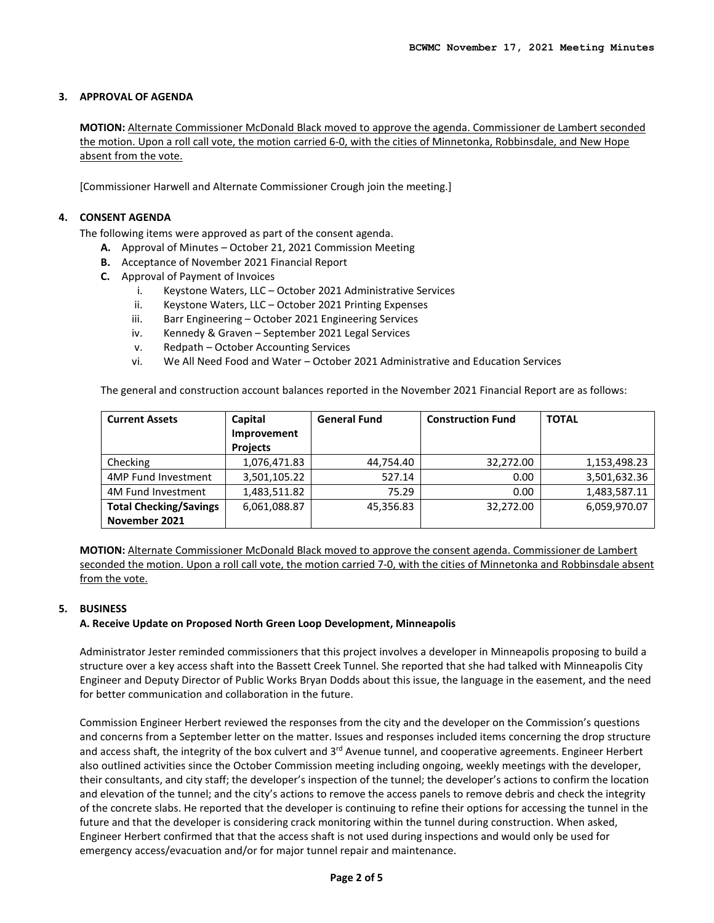# **3. APPROVAL OF AGENDA**

**MOTION:** Alternate Commissioner McDonald Black moved to approve the agenda. Commissioner de Lambert seconded the motion. Upon a roll call vote, the motion carried 6-0, with the cities of Minnetonka, Robbinsdale, and New Hope absent from the vote.

[Commissioner Harwell and Alternate Commissioner Crough join the meeting.]

### **4. CONSENT AGENDA**

The following items were approved as part of the consent agenda.

- **A.** Approval of Minutes October 21, 2021 Commission Meeting
- **B.** Acceptance of November 2021 Financial Report
- **C.** Approval of Payment of Invoices
	- i. Keystone Waters, LLC October 2021 Administrative Services
	- ii. Keystone Waters, LLC October 2021 Printing Expenses
	- iii. Barr Engineering October 2021 Engineering Services
	- iv. Kennedy & Graven September 2021 Legal Services
	- v. Redpath October Accounting Services
	- vi. We All Need Food and Water October 2021 Administrative and Education Services

The general and construction account balances reported in the November 2021 Financial Report are as follows:

| <b>Current Assets</b>         | Capital         | <b>General Fund</b> | <b>Construction Fund</b> | <b>TOTAL</b> |
|-------------------------------|-----------------|---------------------|--------------------------|--------------|
|                               | Improvement     |                     |                          |              |
|                               | <b>Projects</b> |                     |                          |              |
| Checking                      | 1,076,471.83    | 44,754.40           | 32,272.00                | 1,153,498.23 |
| 4MP Fund Investment           | 3,501,105.22    | 527.14              | 0.00                     | 3,501,632.36 |
| 4M Fund Investment            | 1.483.511.82    | 75.29               | 0.00                     | 1,483,587.11 |
| <b>Total Checking/Savings</b> | 6,061,088.87    | 45,356.83           | 32,272.00                | 6,059,970.07 |
| November 2021                 |                 |                     |                          |              |

**MOTION:** Alternate Commissioner McDonald Black moved to approve the consent agenda. Commissioner de Lambert seconded the motion. Upon a roll call vote, the motion carried 7-0, with the cities of Minnetonka and Robbinsdale absent from the vote.

# **5. BUSINESS**

#### **A. Receive Update on Proposed North Green Loop Development, Minneapolis**

Administrator Jester reminded commissioners that this project involves a developer in Minneapolis proposing to build a structure over a key access shaft into the Bassett Creek Tunnel. She reported that she had talked with Minneapolis City Engineer and Deputy Director of Public Works Bryan Dodds about this issue, the language in the easement, and the need for better communication and collaboration in the future.

Commission Engineer Herbert reviewed the responses from the city and the developer on the Commission's questions and concerns from a September letter on the matter. Issues and responses included items concerning the drop structure and access shaft, the integrity of the box culvert and 3<sup>rd</sup> Avenue tunnel, and cooperative agreements. Engineer Herbert also outlined activities since the October Commission meeting including ongoing, weekly meetings with the developer, their consultants, and city staff; the developer's inspection of the tunnel; the developer's actions to confirm the location and elevation of the tunnel; and the city's actions to remove the access panels to remove debris and check the integrity of the concrete slabs. He reported that the developer is continuing to refine their options for accessing the tunnel in the future and that the developer is considering crack monitoring within the tunnel during construction. When asked, Engineer Herbert confirmed that that the access shaft is not used during inspections and would only be used for emergency access/evacuation and/or for major tunnel repair and maintenance.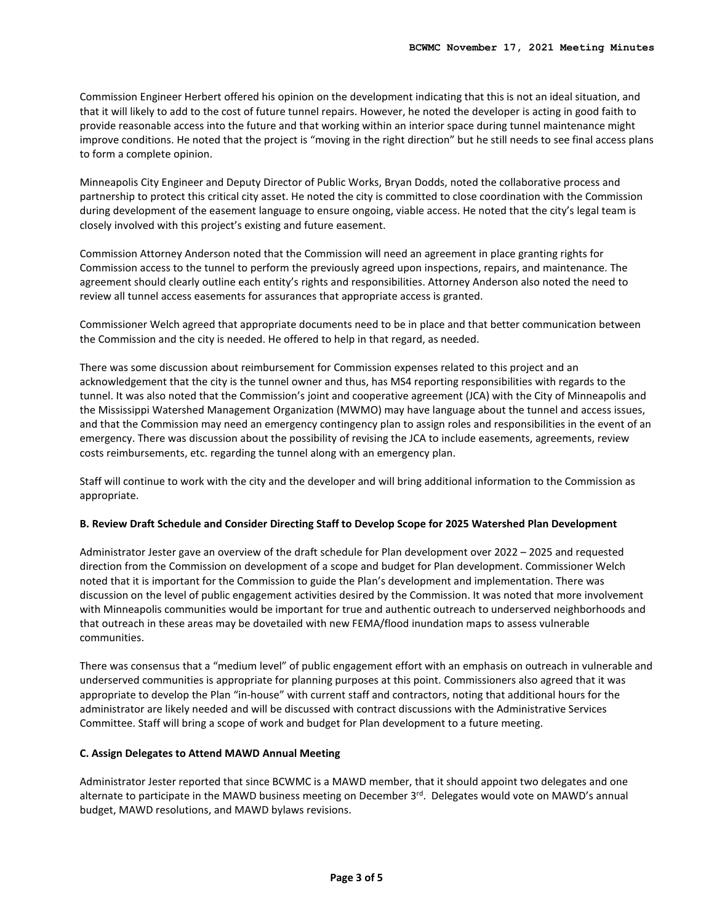Commission Engineer Herbert offered his opinion on the development indicating that this is not an ideal situation, and that it will likely to add to the cost of future tunnel repairs. However, he noted the developer is acting in good faith to provide reasonable access into the future and that working within an interior space during tunnel maintenance might improve conditions. He noted that the project is "moving in the right direction" but he still needs to see final access plans to form a complete opinion.

Minneapolis City Engineer and Deputy Director of Public Works, Bryan Dodds, noted the collaborative process and partnership to protect this critical city asset. He noted the city is committed to close coordination with the Commission during development of the easement language to ensure ongoing, viable access. He noted that the city's legal team is closely involved with this project's existing and future easement.

Commission Attorney Anderson noted that the Commission will need an agreement in place granting rights for Commission access to the tunnel to perform the previously agreed upon inspections, repairs, and maintenance. The agreement should clearly outline each entity's rights and responsibilities. Attorney Anderson also noted the need to review all tunnel access easements for assurances that appropriate access is granted.

Commissioner Welch agreed that appropriate documents need to be in place and that better communication between the Commission and the city is needed. He offered to help in that regard, as needed.

There was some discussion about reimbursement for Commission expenses related to this project and an acknowledgement that the city is the tunnel owner and thus, has MS4 reporting responsibilities with regards to the tunnel. It was also noted that the Commission's joint and cooperative agreement (JCA) with the City of Minneapolis and the Mississippi Watershed Management Organization (MWMO) may have language about the tunnel and access issues, and that the Commission may need an emergency contingency plan to assign roles and responsibilities in the event of an emergency. There was discussion about the possibility of revising the JCA to include easements, agreements, review costs reimbursements, etc. regarding the tunnel along with an emergency plan.

Staff will continue to work with the city and the developer and will bring additional information to the Commission as appropriate.

#### **B. Review Draft Schedule and Consider Directing Staff to Develop Scope for 2025 Watershed Plan Development**

Administrator Jester gave an overview of the draft schedule for Plan development over 2022 – 2025 and requested direction from the Commission on development of a scope and budget for Plan development. Commissioner Welch noted that it is important for the Commission to guide the Plan's development and implementation. There was discussion on the level of public engagement activities desired by the Commission. It was noted that more involvement with Minneapolis communities would be important for true and authentic outreach to underserved neighborhoods and that outreach in these areas may be dovetailed with new FEMA/flood inundation maps to assess vulnerable communities.

There was consensus that a "medium level" of public engagement effort with an emphasis on outreach in vulnerable and underserved communities is appropriate for planning purposes at this point. Commissioners also agreed that it was appropriate to develop the Plan "in-house" with current staff and contractors, noting that additional hours for the administrator are likely needed and will be discussed with contract discussions with the Administrative Services Committee. Staff will bring a scope of work and budget for Plan development to a future meeting.

#### **C. Assign Delegates to Attend MAWD Annual Meeting**

Administrator Jester reported that since BCWMC is a MAWD member, that it should appoint two delegates and one alternate to participate in the MAWD business meeting on December 3rd. Delegates would vote on MAWD's annual budget, MAWD resolutions, and MAWD bylaws revisions.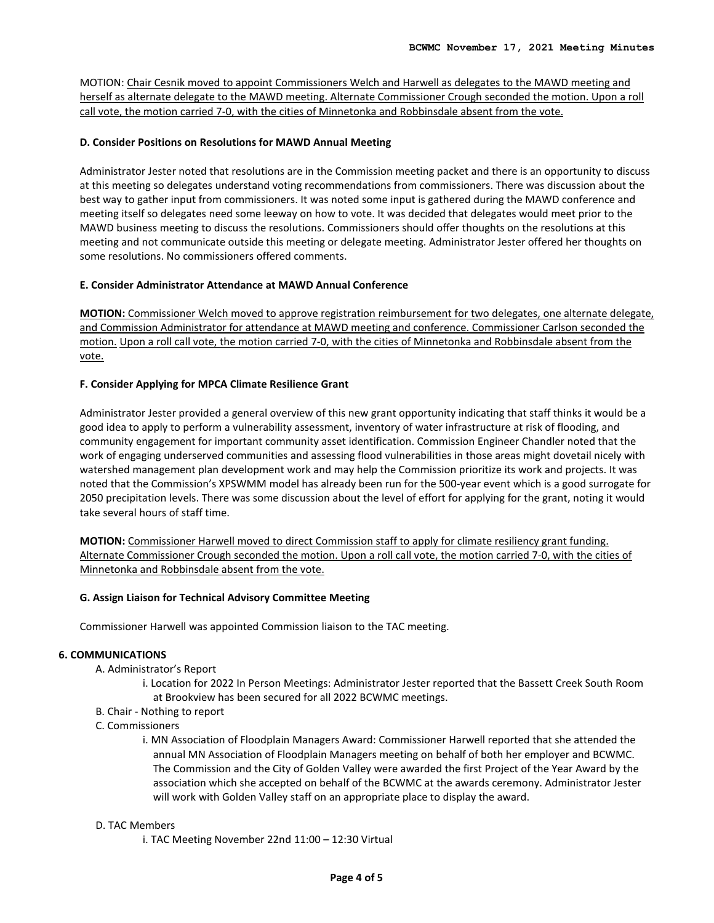MOTION: Chair Cesnik moved to appoint Commissioners Welch and Harwell as delegates to the MAWD meeting and herself as alternate delegate to the MAWD meeting. Alternate Commissioner Crough seconded the motion. Upon a roll call vote, the motion carried 7-0, with the cities of Minnetonka and Robbinsdale absent from the vote.

# **D. Consider Positions on Resolutions for MAWD Annual Meeting**

Administrator Jester noted that resolutions are in the Commission meeting packet and there is an opportunity to discuss at this meeting so delegates understand voting recommendations from commissioners. There was discussion about the best way to gather input from commissioners. It was noted some input is gathered during the MAWD conference and meeting itself so delegates need some leeway on how to vote. It was decided that delegates would meet prior to the MAWD business meeting to discuss the resolutions. Commissioners should offer thoughts on the resolutions at this meeting and not communicate outside this meeting or delegate meeting. Administrator Jester offered her thoughts on some resolutions. No commissioners offered comments.

# **E. Consider Administrator Attendance at MAWD Annual Conference**

**MOTION:** Commissioner Welch moved to approve registration reimbursement for two delegates, one alternate delegate, and Commission Administrator for attendance at MAWD meeting and conference. Commissioner Carlson seconded the motion. Upon a roll call vote, the motion carried 7-0, with the cities of Minnetonka and Robbinsdale absent from the vote.

### **F. Consider Applying for MPCA Climate Resilience Grant**

Administrator Jester provided a general overview of this new grant opportunity indicating that staff thinks it would be a good idea to apply to perform a vulnerability assessment, inventory of water infrastructure at risk of flooding, and community engagement for important community asset identification. Commission Engineer Chandler noted that the work of engaging underserved communities and assessing flood vulnerabilities in those areas might dovetail nicely with watershed management plan development work and may help the Commission prioritize its work and projects. It was noted that the Commission's XPSWMM model has already been run for the 500-year event which is a good surrogate for 2050 precipitation levels. There was some discussion about the level of effort for applying for the grant, noting it would take several hours of staff time.

**MOTION:** Commissioner Harwell moved to direct Commission staff to apply for climate resiliency grant funding. Alternate Commissioner Crough seconded the motion. Upon a roll call vote, the motion carried 7-0, with the cities of Minnetonka and Robbinsdale absent from the vote.

#### **G. Assign Liaison for Technical Advisory Committee Meeting**

Commissioner Harwell was appointed Commission liaison to the TAC meeting.

# **6. COMMUNICATIONS**

- A. Administrator's Report
	- i. Location for 2022 In Person Meetings: Administrator Jester reported that the Bassett Creek South Room at Brookview has been secured for all 2022 BCWMC meetings.
- B. Chair Nothing to report
- C. Commissioners
	- i. MN Association of Floodplain Managers Award: Commissioner Harwell reported that she attended the annual MN Association of Floodplain Managers meeting on behalf of both her employer and BCWMC. The Commission and the City of Golden Valley were awarded the first Project of the Year Award by the association which she accepted on behalf of the BCWMC at the awards ceremony. Administrator Jester will work with Golden Valley staff on an appropriate place to display the award.

#### D. TAC Members

i. TAC Meeting November 22nd 11:00 – 12:30 Virtual